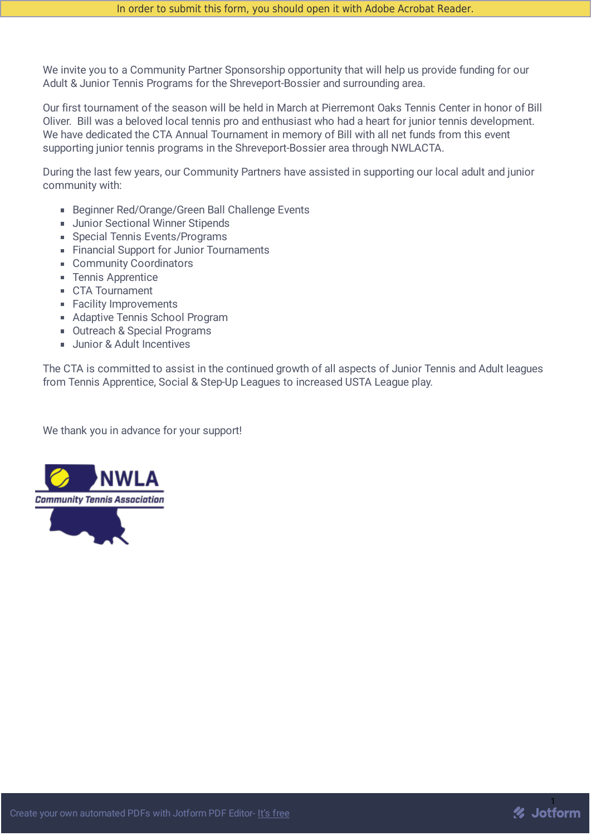We invite you to a Community Partner Sponsorship opportunity that will help us provide funding for our Adult & Junior Tennis Programs for the Shreveport-Bossier and surrounding area.

Our first tournament of the season will be held in March at Pierremont Oaks Tennis Center in honor of Bill Oliver. Bill was a beloved local tennis pro and enthusiast who had a heart for junior tennis development. We have dedicated the CTA Annual Tournament in memory of Bill with all net funds from this event supporting junior tennis programs in the Shreveport-Bossier area through NWLACTA.

During the last few years, our Community Partners have assisted in supporting our local adult and junior community with:

- Beginner Red/Orange/Green Ball Challenge Events
- **Junior Sectional Winner Stipends**
- Special Tennis Events/Programs
- Financial Support for Junior Tournaments
- Community Coordinators
- **Tennis Apprentice**
- CTA Tournament
- Facility Improvements
- **Adaptive Tennis School Program**
- Outreach & Special Programs
- **Junior & Adult Incentives**

The CTA is committed to assist in the continued growth of all aspects of Junior Tennis and Adult leagues from Tennis Apprentice, Social & Step-Up Leagues to increased USTA League play.

We thank you in advance for your support!



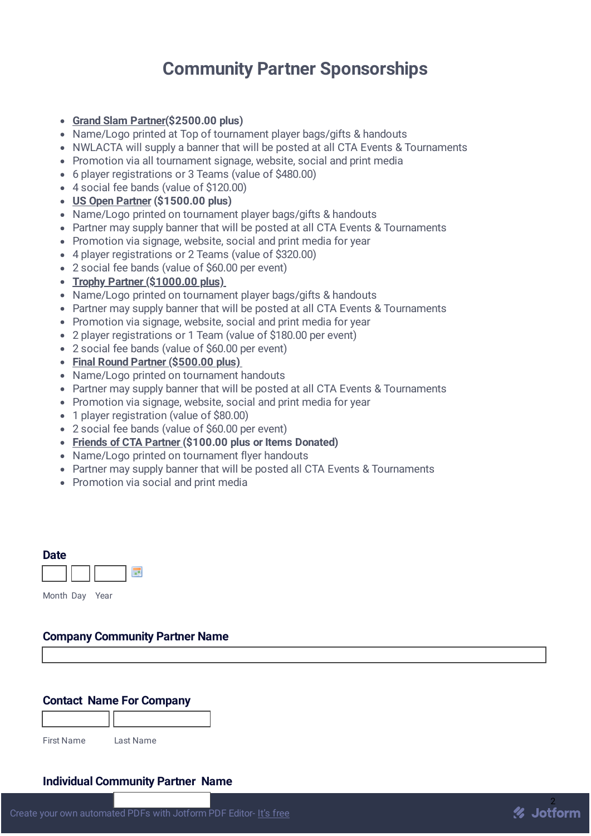# **Community Partner Sponsorships**

- **Grand Slam Partner(\$2500.00 plus)**
- Name/Logo printed at Top of tournament player bags/gifts & handouts
- NWLACTA will supply a banner that will be posted at all CTA Events & Tournaments
- Promotion via all tournament signage, website, social and print media
- 6 player registrations or 3 Teams (value of \$480.00)
- 4 social fee bands (value of \$120.00)
- **US Open Partner (\$1500.00 plus)**
- Name/Logo printed on tournament player bags/gifts & handouts
- Partner may supply banner that will be posted at all CTA Events & Tournaments
- Promotion via signage, website, social and print media for year
- 4 player registrations or 2 Teams (value of \$320.00)
- 2 social fee bands (value of \$60.00 per event)
- **Trophy Partner (\$1000.00 plus)**
- Name/Logo printed on tournament player bags/gifts & handouts
- Partner may supply banner that will be posted at all CTA Events & Tournaments
- Promotion via signage, website, social and print media for year
- 2 player registrations or 1 Team (value of \$180.00 per event)
- 2 social fee bands (value of \$60.00 per event)
- **Final Round Partner (\$500.00 plus)**
- Name/Logo printed on tournament handouts
- Partner may supply banner that will be posted at all CTA Events & Tournaments
- Promotion via signage, website, social and print media for year
- 1 player registration (value of \$80.00)
- 2 social fee bands (value of \$60.00 per event)
- **Friends of CTA Partner (\$100.00 plus or Items Donated)**
- Name/Logo printed on tournament flyer handouts
- Partner may supply banner that will be posted all CTA Events & Tournaments
- Promotion via social and print media

| <b>Date</b> |      |  |
|-------------|------|--|
|             |      |  |
| Month Dav   | Year |  |

## **Company Community Partner Name**

# **Contact Name For Company**

First Name Last Name

#### **Individual Community Partner Name**

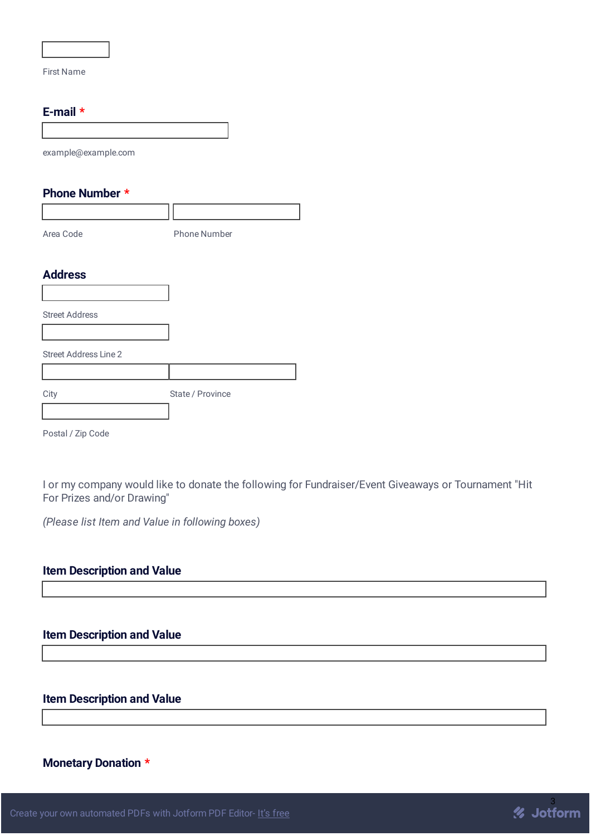First Name

#### **E-mail \***

| example@example.com          |                     |
|------------------------------|---------------------|
| Phone Number *               |                     |
|                              |                     |
| Area Code                    | <b>Phone Number</b> |
| <b>Address</b>               |                     |
|                              |                     |
| <b>Street Address</b>        |                     |
| <b>Street Address Line 2</b> |                     |
|                              |                     |
| City                         | State / Province    |
|                              |                     |
| Postal / Zip Code            |                     |

I or my company would like to donate the following for Fundraiser/Event Giveaways or Tournament "Hit For Prizes and/or Drawing"

*(Please list Item and Value in following boxes)*

### **Item Description and Value**

#### **Item Description and Value**

# **Item Description and Value**

# **Monetary Donation \***